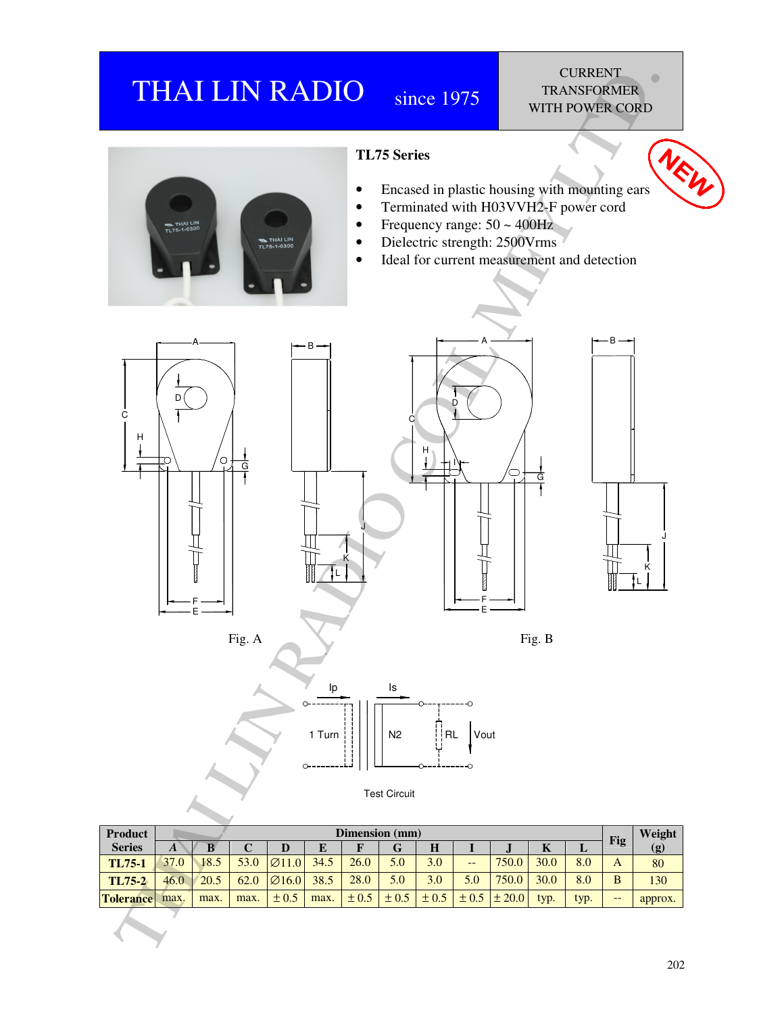## THAI LIN RADIO since 1975

## **CURRENT** TRANSFORMER WITH POWER CORD



| <b>Product</b>   |      | Dimension (mm) |      |                    |      |           |           |           |           |            |      | Weight |       |         |
|------------------|------|----------------|------|--------------------|------|-----------|-----------|-----------|-----------|------------|------|--------|-------|---------|
| <b>Series</b>    | A    | В              | ◡    |                    | E    |           | G         | H         |           | v          | A    | ப      | Fig   | (g)     |
| <b>TL75-1</b>    | 37.0 | 18.5           | 53.0 | $\varnothing$ 11.0 | 34.5 | 26.0      | 5.0       | 3.0       | $- -$     | 750.0      | 30.0 | 8.0    | A     | 80      |
| TL75-2           | 46.0 | 20.5           | 62.0 | $\varnothing$ 16.0 | 38.5 | 28.0      | 5.0       | 3.0       | 5.0       | 750.0      | 30.0 | 8.0    | B     | 130     |
| <b>Tolerance</b> | max. | max.           | max. | $\pm 0.5$          | max. | $\pm 0.5$ | $\pm 0.5$ | $\pm 0.5$ | $\pm 0.5$ | $\pm 20.0$ | typ. | typ.   | $- -$ | approx. |